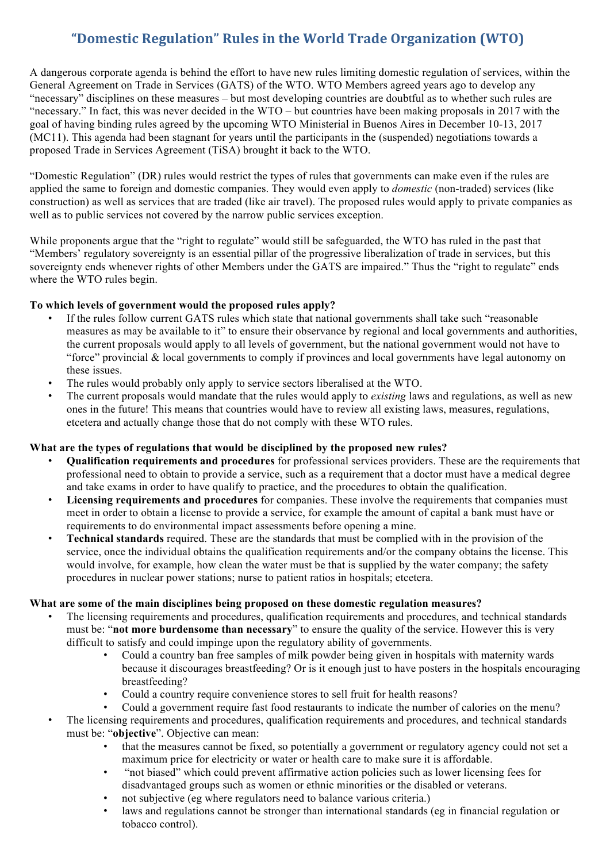# **"Domestic Regulation" Rules in the World Trade Organization (WTO)**

A dangerous corporate agenda is behind the effort to have new rules limiting domestic regulation of services, within the General Agreement on Trade in Services (GATS) of the WTO. WTO Members agreed years ago to develop any "necessary" disciplines on these measures – but most developing countries are doubtful as to whether such rules are "necessary." In fact, this was never decided in the WTO – but countries have been making proposals in 2017 with the goal of having binding rules agreed by the upcoming WTO Ministerial in Buenos Aires in December 10-13, 2017 (MC11). This agenda had been stagnant for years until the participants in the (suspended) negotiations towards a proposed Trade in Services Agreement (TiSA) brought it back to the WTO.

"Domestic Regulation" (DR) rules would restrict the types of rules that governments can make even if the rules are applied the same to foreign and domestic companies. They would even apply to *domestic* (non-traded) services (like construction) as well as services that are traded (like air travel). The proposed rules would apply to private companies as well as to public services not covered by the narrow public services exception.

While proponents argue that the "right to regulate" would still be safeguarded, the WTO has ruled in the past that "Members' regulatory sovereignty is an essential pillar of the progressive liberalization of trade in services, but this sovereignty ends whenever rights of other Members under the GATS are impaired." Thus the "right to regulate" ends where the WTO rules begin.

# **To which levels of government would the proposed rules apply?**

- If the rules follow current GATS rules which state that national governments shall take such "reasonable" measures as may be available to it" to ensure their observance by regional and local governments and authorities, the current proposals would apply to all levels of government, but the national government would not have to "force" provincial & local governments to comply if provinces and local governments have legal autonomy on these issues.
- The rules would probably only apply to service sectors liberalised at the WTO.
- The current proposals would mandate that the rules would apply to *existing* laws and regulations, as well as new ones in the future! This means that countries would have to review all existing laws, measures, regulations, etcetera and actually change those that do not comply with these WTO rules.

# **What are the types of regulations that would be disciplined by the proposed new rules?**

- **Qualification requirements and procedures** for professional services providers. These are the requirements that professional need to obtain to provide a service, such as a requirement that a doctor must have a medical degree and take exams in order to have qualify to practice, and the procedures to obtain the qualification.
- **Licensing requirements and procedures** for companies. These involve the requirements that companies must meet in order to obtain a license to provide a service, for example the amount of capital a bank must have or requirements to do environmental impact assessments before opening a mine.
- **Technical standards** required. These are the standards that must be complied with in the provision of the service, once the individual obtains the qualification requirements and/or the company obtains the license. This would involve, for example, how clean the water must be that is supplied by the water company; the safety procedures in nuclear power stations; nurse to patient ratios in hospitals; etcetera.

#### **What are some of the main disciplines being proposed on these domestic regulation measures?**

- The licensing requirements and procedures, qualification requirements and procedures, and technical standards must be: "**not more burdensome than necessary**" to ensure the quality of the service. However this is very difficult to satisfy and could impinge upon the regulatory ability of governments.
	- Could a country ban free samples of milk powder being given in hospitals with maternity wards because it discourages breastfeeding? Or is it enough just to have posters in the hospitals encouraging breastfeeding?
	- Could a country require convenience stores to sell fruit for health reasons?
	- Could a government require fast food restaurants to indicate the number of calories on the menu?
- The licensing requirements and procedures, qualification requirements and procedures, and technical standards must be: "**objective**". Objective can mean:
	- that the measures cannot be fixed, so potentially a government or regulatory agency could not set a maximum price for electricity or water or health care to make sure it is affordable.
	- "not biased" which could prevent affirmative action policies such as lower licensing fees for disadvantaged groups such as women or ethnic minorities or the disabled or veterans.
	- not subjective (eg where regulators need to balance various criteria.)
	- laws and regulations cannot be stronger than international standards (eg in financial regulation or tobacco control).